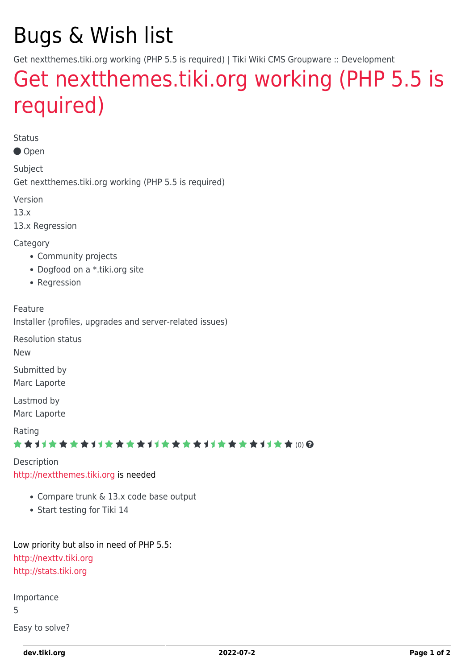## Bugs & Wish list

Get nextthemes.tiki.org working (PHP 5.5 is required) | Tiki Wiki CMS Groupware :: Development

## [Get nextthemes.tiki.org working \(PHP 5.5 is](https://dev.tiki.org/item5387-Get-nextthemes-tiki-org-working-PHP-5-5-is-required) [required\)](https://dev.tiki.org/item5387-Get-nextthemes-tiki-org-working-PHP-5-5-is-required)

Status

Open

Subject Get nextthemes.tiki.org working (PHP 5.5 is required)

Version

13.x

13.x Regression

**Category** 

- Community projects
- Dogfood on a \*.tiki.org site
- Regression

Feature

Installer (profiles, upgrades and server-related issues)

Resolution status

New

Submitted by Marc Laporte

Lastmod by Marc Laporte

Rating

★★11★★★★11★★★★11★★★★11★★★★+11★★ (0) @

Description <http://nextthemes.tiki.org> is needed

- Compare trunk & 13.x code base output
- Start testing for Tiki 14

Low priority but also in need of PHP 5.5: <http://nexttv.tiki.org> <http://stats.tiki.org>

Importance

5

Easy to solve?